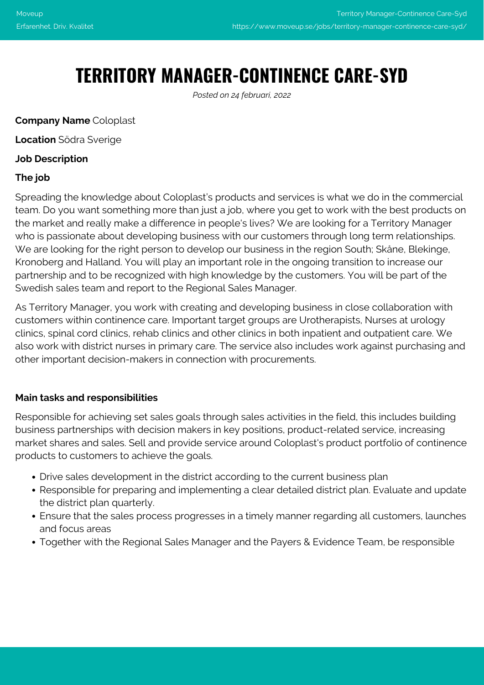# **TERRITORY MANAGER-CONTINENCE CARE-SYD**

*Posted on 24 februari, 2022*

#### **Company Name** Coloplast

**Location** Södra Sverige

#### **Job Description**

#### **The job**

Spreading the knowledge about Coloplast's products and services is what we do in the commercial team. Do you want something more than just a job, where you get to work with the best products on the market and really make a difference in people's lives? We are looking for a Territory Manager who is passionate about developing business with our customers through long term relationships. We are looking for the right person to develop our business in the region South; Skåne, Blekinge, Kronoberg and Halland. You will play an important role in the ongoing transition to increase our partnership and to be recognized with high knowledge by the customers. You will be part of the Swedish sales team and report to the Regional Sales Manager.

As Territory Manager, you work with creating and developing business in close collaboration with customers within continence care. Important target groups are Urotherapists, Nurses at urology clinics, spinal cord clinics, rehab clinics and other clinics in both inpatient and outpatient care. We also work with district nurses in primary care. The service also includes work against purchasing and other important decision-makers in connection with procurements.

### **Main tasks and responsibilities**

Responsible for achieving set sales goals through sales activities in the field, this includes building business partnerships with decision makers in key positions, product-related service, increasing market shares and sales. Sell and provide service around Coloplast's product portfolio of continence products to customers to achieve the goals.

- Drive sales development in the district according to the current business plan
- Responsible for preparing and implementing a clear detailed district plan. Evaluate and update the district plan quarterly.
- Ensure that the sales process progresses in a timely manner regarding all customers, launches and focus areas
- Together with the Regional Sales Manager and the Payers & Evidence Team, be responsible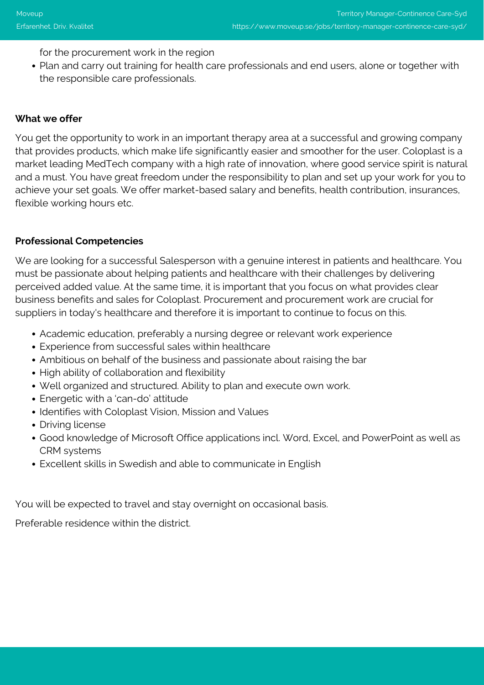for the procurement work in the region

Plan and carry out training for health care professionals and end users, alone or together with the responsible care professionals.

### **What we offer**

You get the opportunity to work in an important therapy area at a successful and growing company that provides products, which make life significantly easier and smoother for the user. Coloplast is a market leading MedTech company with a high rate of innovation, where good service spirit is natural and a must. You have great freedom under the responsibility to plan and set up your work for you to achieve your set goals. We offer market-based salary and benefits, health contribution, insurances, flexible working hours etc.

# **Professional Competencies**

We are looking for a successful Salesperson with a genuine interest in patients and healthcare. You must be passionate about helping patients and healthcare with their challenges by delivering perceived added value. At the same time, it is important that you focus on what provides clear business benefits and sales for Coloplast. Procurement and procurement work are crucial for suppliers in today's healthcare and therefore it is important to continue to focus on this.

- Academic education, preferably a nursing degree or relevant work experience
- Experience from successful sales within healthcare
- Ambitious on behalf of the business and passionate about raising the bar
- High ability of collaboration and flexibility
- Well organized and structured. Ability to plan and execute own work.
- Energetic with a 'can-do' attitude
- Identifies with Coloplast Vision, Mission and Values
- Driving license
- Good knowledge of Microsoft Office applications incl. Word, Excel, and PowerPoint as well as CRM systems
- Excellent skills in Swedish and able to communicate in English

You will be expected to travel and stay overnight on occasional basis.

Preferable residence within the district.